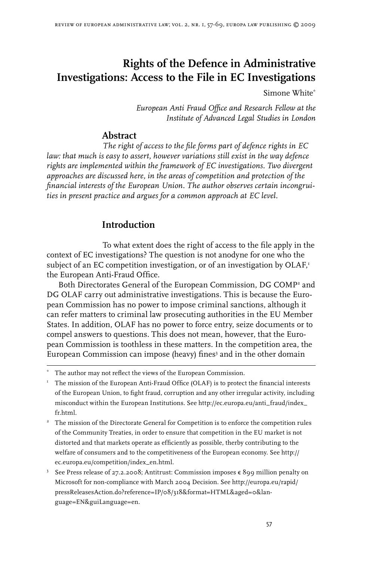# **Rights of the Defence in Administrative Investigations: Access to the File in EC Investigations**

Simone White\*

*European Anti Fraud Office and Research Fellow at the Institute of Advanced Legal Studies in London*

## **Abstract**

*The right of access to the file forms part of defence rights in EC law: that much is easy to assert, however variations still exist in the way defence rights are implemented within the framework of EC investigations. Two divergent approaches are discussed here, in the areas of competition and protection of the financial interests of the European Union. The author observes certain incongruities in present practice and argues for a common approach at EC level.* 

# **Introduction**

To what extent does the right of access to the file apply in the context of EC investigations? The question is not anodyne for one who the subject of an EC competition investigation, or of an investigation by OLAF,<sup>1</sup> the European Anti-Fraud Office.

Both Directorates General of the European Commission, DG COMP<sup>2</sup> and DG OLAF carry out administrative investigations. This is because the European Commission has no power to impose criminal sanctions, although it can refer matters to criminal law prosecuting authorities in the EU Member States. In addition, OLAF has no power to force entry, seize documents or to compel answers to questions. This does not mean, however, that the European Commission is toothless in these matters. In the competition area, the European Commission can impose (heavy) fines<sup>3</sup> and in the other domain

- <sup>2</sup> The mission of the Directorate General for Competition is to enforce the competition rules of the Community Treaties, in order to ensure that competition in the EU market is not distorted and that markets operate as efficiently as possible, therby contributing to the welfare of consumers and to the competitiveness of the European economy. See http:// ec.europa.eu/competition/index\_en.html.
- See Press release of 27.2.2008; Antitrust: Commission imposes  $\epsilon$  899 million penalty on Microsoft for non-compliance with March 2004 Decision. See http://europa.eu/rapid/ pressReleasesAction.do?reference=IP/08/318&format=HTML&aged=0&language=EN&guiLanguage=en.

The author may not reflect the views of the European Commission.

I The mission of the European Anti-Fraud Office (OLAF) is to protect the financial interests of the European Union, to fight fraud, corruption and any other irregular activity, including misconduct within the European Institutions. See http://ec.europa.eu/anti\_fraud/index\_ fr.html.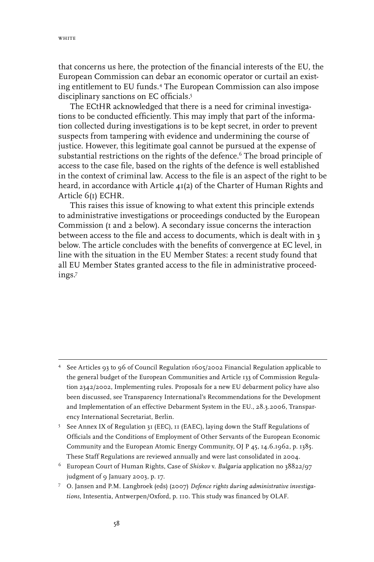that concerns us here, the protection of the financial interests of the EU, the European Commission can debar an economic operator or curtail an existing entitlement to EU funds.<sup>4</sup> The European Commission can also impose disciplinary sanctions on EC officials.

The ECtHR acknowledged that there is a need for criminal investigations to be conducted efficiently. This may imply that part of the information collected during investigations is to be kept secret, in order to prevent suspects from tampering with evidence and undermining the course of justice. However, this legitimate goal cannot be pursued at the expense of substantial restrictions on the rights of the defence.<sup>6</sup> The broad principle of access to the case file, based on the rights of the defence is well established in the context of criminal law. Access to the file is an aspect of the right to be heard, in accordance with Article 41(2) of the Charter of Human Rights and Article 6(1) ECHR.

This raises this issue of knowing to what extent this principle extends to administrative investigations or proceedings conducted by the European Commission (1 and 2 below). A secondary issue concerns the interaction between access to the file and access to documents, which is dealt with in 3 below. The article concludes with the benefits of convergence at EC level, in line with the situation in the EU Member States: a recent study found that all EU Member States granted access to the file in administrative proceedings.

See Articles 93 to 96 of Council Regulation 1605/2002 Financial Regulation applicable to the general budget of the European Communities and Article 133 of Commission Regulation 2342/2002, Implementing rules. Proposals for a new EU debarment policy have also been discussed, see Transparency International's Recommendations for the Development and Implementation of an effective Debarment System in the EU., 28.3.2006, Transparency International Secretariat, Berlin.

<sup>&</sup>lt;sup>5</sup> See Annex IX of Regulation 31 (EEC), II (EAEC), laying down the Staff Regulations of Officials and the Conditions of Employment of Other Servants of the European Economic Community and the European Atomic Energy Community, OJ P 45, 14.6.1962, p. 1385. These Staff Regulations are reviewed annually and were last consolidated in 2004.

European Court of Human Rights, Case of *Shiskov* v. *Bulgaria* application no 38822/97 judgment of 9 January 2003, p. 17.

O. Jansen and P.M. Langbroek (eds) (2007) *Defence rights during administrative investigations*, Intesentia, Antwerpen/Oxford, p. 110. This study was financed by OLAF.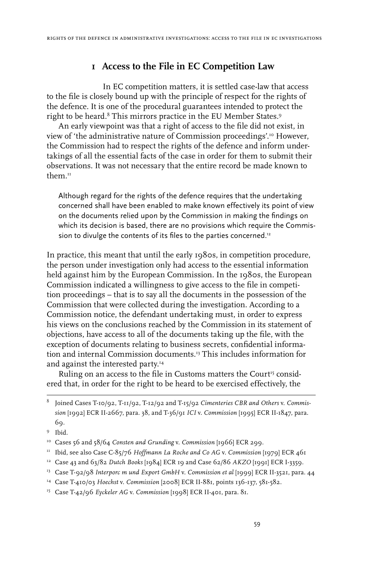# **1 Access to the File in EC Competition Law**

In EC competition matters, it is settled case-law that access to the file is closely bound up with the principle of respect for the rights of the defence. It is one of the procedural guarantees intended to protect the right to be heard.<sup>8</sup> This mirrors practice in the EU Member States.<sup>9</sup>

An early viewpoint was that a right of access to the file did not exist, in view of 'the administrative nature of Commission proceedings'.10 However, the Commission had to respect the rights of the defence and inform undertakings of all the essential facts of the case in order for them to submit their observations. It was not necessary that the entire record be made known to them<sup>II</sup>

Although regard for the rights of the defence requires that the undertaking concerned shall have been enabled to make known effectively its point of view on the documents relied upon by the Commission in making the findings on which its decision is based, there are no provisions which require the Commission to divulge the contents of its files to the parties concerned.<sup>12</sup>

In practice, this meant that until the early 1980s, in competition procedure, the person under investigation only had access to the essential information held against him by the European Commission. In the 1980s, the European Commission indicated a willingness to give access to the file in competition proceedings – that is to say all the documents in the possession of the Commission that were collected during the investigation. According to a Commission notice, the defendant undertaking must, in order to express his views on the conclusions reached by the Commission in its statement of objections, have access to all of the documents taking up the file, with the exception of documents relating to business secrets, confidential information and internal Commission documents.13 This includes information for and against the interested party.14

Ruling on an access to the file in Customs matters the Court<sup>15</sup> considered that, in order for the right to be heard to be exercised effectively, the

Joined Cases T-10/92, T-11/92, T-12/92 and T-15/92 *Cimenteries CBR and Others* v. *Commission* [1992] ECR II-2667, para. 38, and T-36/91 *ICI* v. *Commission* [1995] ECR II-1847, para. 69.

<sup>&</sup>lt;sup>9</sup> Ibid.

<sup>10</sup> Cases 56 and 58/64 *Consten and Grunding* v. *Commission* [1966] ECR 299.

<sup>11</sup> Ibid, see also Case C-85/76 *Hoffmann La Roche and Co AG* v. *Commission* [1979] ECR 461

<sup>12</sup> Case 43 and 63/82 *Dutch Books* [1984] ECR 19 and Case 62/86 *AKZO* [1991] ECR I-3359.

<sup>13</sup> Case T-92/98 *Interporc m und Export GmbH* v. *Commission et al* [1999] ECR II-3521, para. 44

<sup>14</sup> Case T-410/03 *Hoechst* v. *Commission* [2008] ECR II-881, points 136-137, 581-582.

<sup>15</sup> Case T-42/96 *Eyckeler AG* v. *Commission* [1998] ECR II-401, para. 81.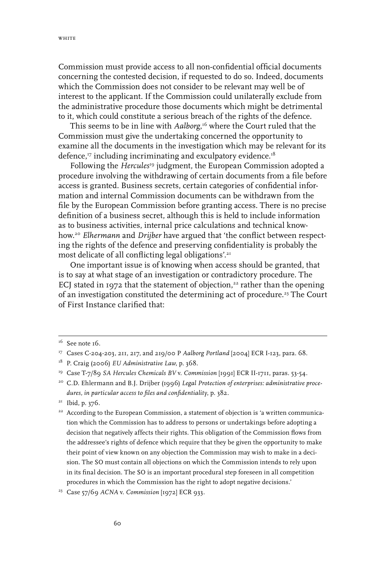Commission must provide access to all non-confidential official documents concerning the contested decision, if requested to do so. Indeed, documents which the Commission does not consider to be relevant may well be of interest to the applicant. If the Commission could unilaterally exclude from the administrative procedure those documents which might be detrimental to it, which could constitute a serious breach of the rights of the defence.

This seems to be in line with *Aalborg*, 16 where the Court ruled that the Commission must give the undertaking concerned the opportunity to examine all the documents in the investigation which may be relevant for its defence,17 including incriminating and exculpatory evidence.18

Following the *Hercules*19 judgment, the European Commission adopted a procedure involving the withdrawing of certain documents from a file before access is granted. Business secrets, certain categories of confidential information and internal Commission documents can be withdrawn from the file by the European Commission before granting access. There is no precise definition of a business secret, although this is held to include information as to business activities, internal price calculations and technical knowhow.20 *Elhermann* and *Drijber* have argued that 'the conflict between respecting the rights of the defence and preserving confidentiality is probably the most delicate of all conflicting legal obligations'.<sup>21</sup>

One important issue is of knowing when access should be granted, that is to say at what stage of an investigation or contradictory procedure. The ECJ stated in 1972 that the statement of objection,<sup>22</sup> rather than the opening of an investigation constituted the determining act of procedure.<sup>23</sup> The Court of First Instance clarified that:

 $16$  See note 16.

<sup>&</sup>lt;sup>17</sup> Cases C-204-203, 211, 217, and 219/00 P Aalborg Portland [2004] ECR I-123, para. 68.

<sup>18</sup> P. Craig (2006) *EU Administrative Law*, p. 368.

<sup>19</sup> Case T-7/89 *SA Hercules Chemicals BV* v. *Commission* [1991] ECR II-1711, paras. 53-54.

<sup>20</sup> C.D. Ehlermann and B.J. Drijber (1996) *Legal Protection of enterprises: administrative procedures, in particular access to files and confidentiality*, p. 382.

<sup>&</sup>lt;sup>21</sup> Ibid, p. 376.

<sup>&</sup>lt;sup>22</sup> According to the European Commission, a statement of objection is 'a written communication which the Commission has to address to persons or undertakings before adopting a decision that negatively affects their rights. This obligation of the Commission flows from the addressee's rights of defence which require that they be given the opportunity to make their point of view known on any objection the Commission may wish to make in a decision. The SO must contain all objections on which the Commission intends to rely upon in its final decision. The SO is an important procedural step foreseen in all competition procedures in which the Commission has the right to adopt negative decisions.'

<sup>23</sup> Case 57/69 *ACNA* v. *Commission* [1972] ECR 933.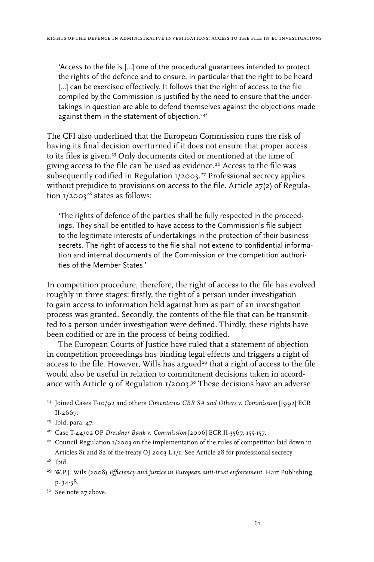'Access to the file is […] one of the procedural guarantees intended to protect the rights of the defence and to ensure, in particular that the right to be heard [...] can be exercised effectively. It follows that the right of access to the file compiled by the Commission is justified by the need to ensure that the undertakings in question are able to defend themselves against the objections made against them in the statement of objection.<sup>24'</sup>

The CFI also underlined that the European Commission runs the risk of having its final decision overturned if it does not ensure that proper access to its files is given.<sup>25</sup> Only documents cited or mentioned at the time of giving access to the file can be used as evidence.<sup>26</sup> Access to the file was subsequently codified in Regulation 1/2003. 27 Professional secrecy applies without prejudice to provisions on access to the file. Article 27(2) of Regulation 1/2003 $^{\scriptscriptstyle 28}$  states as follows:

'The rights of defence of the parties shall be fully respected in the proceedings. They shall be entitled to have access to the Commission's file subject to the legitimate interests of undertakings in the protection of their business secrets. The right of access to the file shall not extend to confidential information and internal documents of the Commission or the competition authorities of the Member States.'

In competition procedure, therefore, the right of access to the file has evolved roughly in three stages: firstly, the right of a person under investigation to gain access to information held against him as part of an investigation process was granted. Secondly, the contents of the file that can be transmitted to a person under investigation were defined. Thirdly, these rights have been codified or are in the process of being codified.

The European Courts of Justice have ruled that a statement of objection in competition proceedings has binding legal effects and triggers a right of access to the file. However, Wills has argued<sup>29</sup> that a right of access to the file would also be useful in relation to commitment decisions taken in accordance with Article 9 of Regulation 1/2003. 30 These decisions have an adverse

<sup>24</sup> Joined Cases T-10/92 and others *Cimenteries CBR SA and Others* v. *Commission* [1992] ECR II-2667.

<sup>25</sup> Ibid, para. 47.

<sup>26</sup> Case T-44/02 OP *Dresdner Bank* v. *Commission* [2006] ECR II-3567, 155-157.

<sup>&</sup>lt;sup>27</sup> Council Regulation 1/2003 on the implementation of the rules of competition laid down in Articles 81 and 82 of the treaty OJ 2003 L 1/1. See Article 28 for professional secrecy.

 $28$  Ibid.

<sup>29</sup> W.P.J. Wils (2008) *Efficiency and justice in European anti-trust enforcement*, Hart Publishing, p. 34-38.

<sup>&</sup>lt;sup>30</sup> See note 27 above.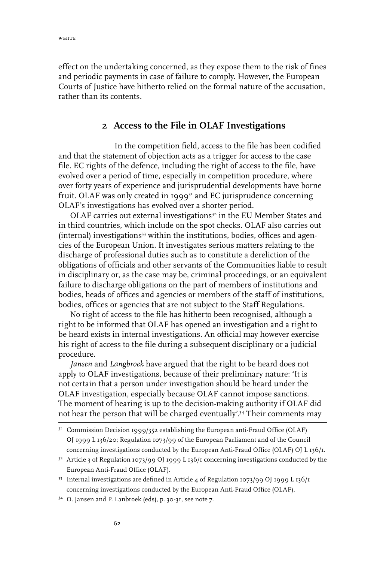effect on the undertaking concerned, as they expose them to the risk of fines and periodic payments in case of failure to comply. However, the European Courts of Justice have hitherto relied on the formal nature of the accusation, rather than its contents.

#### **2 Access to the File in OLAF Investigations**

In the competition field, access to the file has been codified and that the statement of objection acts as a trigger for access to the case file. EC rights of the defence, including the right of access to the file, have evolved over a period of time, especially in competition procedure, where over forty years of experience and jurisprudential developments have borne fruit. OLAF was only created in 1999 $3<sup>1</sup>$  and EC jurisprudence concerning OLAF's investigations has evolved over a shorter period.

OLAF carries out external investigations<sup>32</sup> in the EU Member States and in third countries, which include on the spot checks. OLAF also carries out  $(internal)$  investigations<sup>33</sup> within the institutions, bodies, offices and agencies of the European Union. It investigates serious matters relating to the discharge of professional duties such as to constitute a dereliction of the obligations of officials and other servants of the Communities liable to result in disciplinary or, as the case may be, criminal proceedings, or an equivalent failure to discharge obligations on the part of members of institutions and bodies, heads of offices and agencies or members of the staff of institutions, bodies, offices or agencies that are not subject to the Staff Regulations.

No right of access to the file has hitherto been recognised, although a right to be informed that OLAF has opened an investigation and a right to be heard exists in internal investigations. An official may however exercise his right of access to the file during a subsequent disciplinary or a judicial procedure.

*Jansen* and *Langbroek* have argued that the right to be heard does not apply to OLAF investigations, because of their preliminary nature: 'It is not certain that a person under investigation should be heard under the OLAF investigation, especially because OLAF cannot impose sanctions. The moment of hearing is up to the decision-making authority if OLAF did not hear the person that will be charged eventually'.34 Their comments may

 $3<sup>T</sup>$  Commission Decision 1999/352 establishing the European anti-Fraud Office (OLAF) OJ 1999 L 136/20; Regulation 1073/99 of the European Parliament and of the Council concerning investigations conducted by the European Anti-Fraud Office (OLAF) OJ L 136/1.

 $32$  Article 3 of Regulation 1073/99 OJ 1999 L 136/1 concerning investigations conducted by the European Anti-Fraud Office (OLAF).

<sup>33</sup> Internal investigations are defined in Article 4 of Regulation 1073/99 OJ 1999 L 136/1 concerning investigations conducted by the European Anti-Fraud Office (OLAF).

<sup>34</sup> O. Jansen and P. Lanbroek (eds), p. 30-31, see note 7.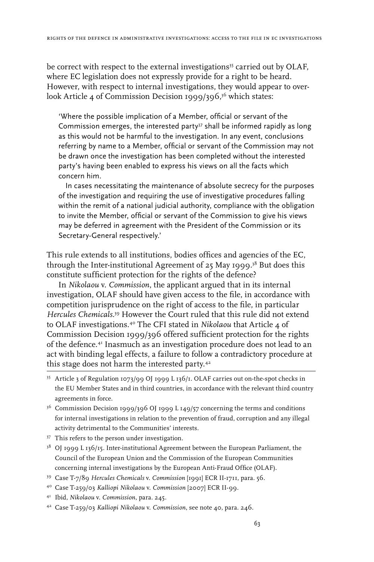be correct with respect to the external investigations<sup>35</sup> carried out by OLAF, where EC legislation does not expressly provide for a right to be heard. However, with respect to internal investigations, they would appear to overlook Article 4 of Commission Decision 1999/396, 36 which states:

'Where the possible implication of a Member, official or servant of the Commission emerges, the interested party<sup>37</sup> shall be informed rapidly as long as this would not be harmful to the investigation. In any event, conclusions referring by name to a Member, official or servant of the Commission may not be drawn once the investigation has been completed without the interested party's having been enabled to express his views on all the facts which concern him.

In cases necessitating the maintenance of absolute secrecy for the purposes of the investigation and requiring the use of investigative procedures falling within the remit of a national judicial authority, compliance with the obligation to invite the Member, official or servant of the Commission to give his views may be deferred in agreement with the President of the Commission or its Secretary-General respectively.'

This rule extends to all institutions, bodies offices and agencies of the EC, through the Inter-institutional Agreement of 25 May 1999.38 But does this constitute sufficient protection for the rights of the defence?

In *Nikolaou* v. *Commission*, the applicant argued that in its internal investigation, OLAF should have given access to the file, in accordance with competition jurisprudence on the right of access to the file, in particular *Hercules Chemicals*. 39 However the Court ruled that this rule did not extend to OLAF investigations.40 The CFI stated in *Nikolaou* that Article 4 of Commission Decision 1999/396 offered sufficient protection for the rights of the defence.41 Inasmuch as an investigation procedure does not lead to an act with binding legal effects, a failure to follow a contradictory procedure at this stage does not harm the interested party.42

- <sup>36</sup> Commission Decision 1999/396 OJ 1999 L 149/57 concerning the terms and conditions for internal investigations in relation to the prevention of fraud, corruption and any illegal activity detrimental to the Communities' interests.
- 37 This refers to the person under investigation.
- $3^8$  OJ 1999 L 136/15. Inter-institutional Agreement between the European Parliament, the Council of the European Union and the Commission of the European Communities concerning internal investigations by the European Anti-Fraud Office (OLAF).
- 39 Case T-7/89 *Hercules Chemicals* v. *Commission* [1991] ECR II-1711, para. 56.
- 40 Case T-259/03 *Kalliopi Nikolaou* v. *Commission* [2007] ECR II-99.
- 41 Ibid, *Nikolaou* v. *Commission*, para. 245.
- 42 Case T-259/03 *Kalliopi Nikolaou* v. *Commission*, see note 40*,* para. 246.

<sup>35</sup> Article 3 of Regulation 1073/99 OJ 1999 L 136/1. OLAF carries out on-the-spot checks in the EU Member States and in third countries, in accordance with the relevant third country agreements in force.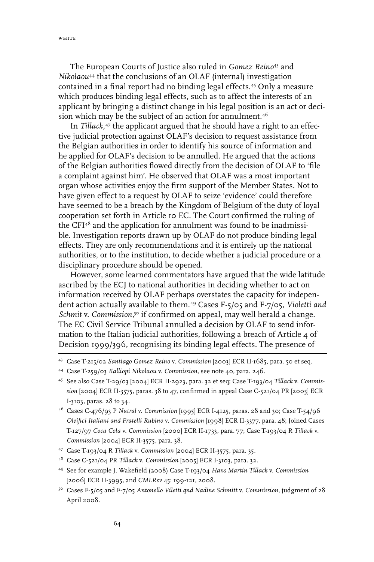The European Courts of Justice also ruled in *Gomez Reino*<sup>43</sup> and *Nikolaou*44 that the conclusions of an OLAF (internal) investigation contained in a final report had no binding legal effects.45 Only a measure which produces binding legal effects, such as to affect the interests of an applicant by bringing a distinct change in his legal position is an act or decision which may be the subject of an action for annulment.<sup>46</sup>

In *Tillack,*<sup>47</sup> the applicant argued that he should have a right to an effective judicial protection against OLAF's decision to request assistance from the Belgian authorities in order to identify his source of information and he applied for OLAF's decision to be annulled. He argued that the actions of the Belgian authorities flowed directly from the decision of OLAF to 'file a complaint against him'. He observed that OLAF was a most important organ whose activities enjoy the firm support of the Member States. Not to have given effect to a request by OLAF to seize 'evidence' could therefore have seemed to be a breach by the Kingdom of Belgium of the duty of loyal cooperation set forth in Article 10 EC. The Court confirmed the ruling of the CFI<sup>48</sup> and the application for annulment was found to be inadmissible. Investigation reports drawn up by OLAF do not produce binding legal effects. They are only recommendations and it is entirely up the national authorities, or to the institution, to decide whether a judicial procedure or a disciplinary procedure should be opened.

However, some learned commentators have argued that the wide latitude ascribed by the ECJ to national authorities in deciding whether to act on information received by OLAF perhaps overstates the capacity for independent action actually available to them.49 Cases F-5/05 and F-7/05, *Violetti and Schmit v. Commission*,<sup>50</sup> if confirmed on appeal, may well herald a change. The EC Civil Service Tribunal annulled a decision by OLAF to send information to the Italian judicial authorities, following a breach of Article 4 of Decision 1999/396, recognising its binding legal effects. The presence of

- 46 Cases C-476/93 P *Nutral* v. *Commission* [1995] ECR I-4125, paras. 28 and 30; Case T-54/96 *Oleifici Italiani and Fratelli Rubino* v. *Commission* [1998] ECR II-3377, para. 48; Joined Cases T-127/97 *Coca Cola* v. *Commission* [2000] ECR II-1733, para. 77; Case T-193/04 R *Tillack* v. *Commission* [2004] ECR II-3575, para. 38.
- 47 Case T-193/04 R *Tillack* v. *Commission* [2004] ECR II-3575, para. 35.
- 48 Case C-521/04 PR *Tillack* v. *Commission* [2005] ECR I-3103, para. 32.
- 49 See for example J. Wakefield (2008) Case T-193/04 *Hans Martin Tillack* v. *Commission* [2006] ECR II-3995, and *CMLRev* 45: 199-121, 2008.
- 50 Cases F-5/05 and F-7/05 *Antonello Viletti qnd Nadine Schmitt* v. *Commission*, judgment of 28 April 2008.

<sup>43</sup> Case T-215/02 *Santiago Gomez Reino* v. *Commission* [2003] ECR II-1685, para. 50 et seq.

<sup>44</sup> Case T-259/03 *Kalliopi Nikolaou* v. *Commission*, see note 40*,* para. 246.

<sup>45</sup> See also Case T-29/03 [2004] ECR II-2923, para. 32 et seq; Case T-193/04 *Tillack* v. *Commission* [2004] ECR II-3575, paras. 38 to 47, confirmed in appeal Case C-521/04 PR [2005] ECR I-3103, paras. 28 to 34.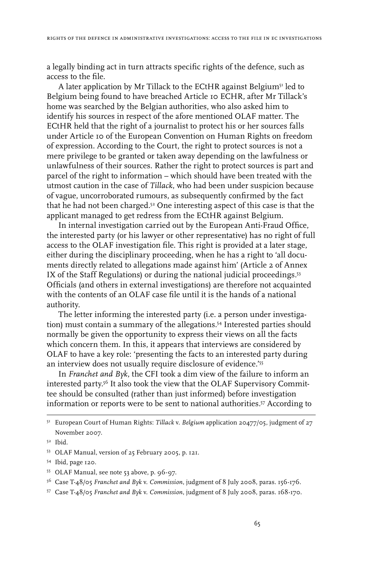a legally binding act in turn attracts specific rights of the defence, such as access to the file.

A later application by Mr Tillack to the ECtHR against Belgium<sup>51</sup> led to Belgium being found to have breached Article 10 ECHR, after Mr Tillack's home was searched by the Belgian authorities, who also asked him to identify his sources in respect of the afore mentioned OLAF matter. The ECtHR held that the right of a journalist to protect his or her sources falls under Article 10 of the European Convention on Human Rights on freedom of expression. According to the Court, the right to protect sources is not a mere privilege to be granted or taken away depending on the lawfulness or unlawfulness of their sources. Rather the right to protect sources is part and parcel of the right to information – which should have been treated with the utmost caution in the case of *Tillack*, who had been under suspicion because of vague, uncorroborated rumours, as subsequently confirmed by the fact that he had not been charged.52 One interesting aspect of this case is that the applicant managed to get redress from the ECtHR against Belgium.

In internal investigation carried out by the European Anti-Fraud Office, the interested party (or his lawyer or other representative) has no right of full access to the OLAF investigation file. This right is provided at a later stage, either during the disciplinary proceeding, when he has a right to 'all documents directly related to allegations made against him' (Article 2 of Annex IX of the Staff Regulations) or during the national judicial proceedings.53 Officials (and others in external investigations) are therefore not acquainted with the contents of an OLAF case file until it is the hands of a national authority.

The letter informing the interested party (i.e. a person under investigation) must contain a summary of the allegations.54 Interested parties should normally be given the opportunity to express their views on all the facts which concern them. In this, it appears that interviews are considered by OLAF to have a key role: 'presenting the facts to an interested party during an interview does not usually require disclosure of evidence.'55

In *Franchet and Byk*, the CFI took a dim view of the failure to inform an interested party.<sup>56</sup> It also took the view that the OLAF Supervisory Committee should be consulted (rather than just informed) before investigation information or reports were to be sent to national authorities.57 According to

<sup>51</sup> European Court of Human Rights: *Tillack* v. *Belgium* application 20477/05, judgment of 27 November 2007.

<sup>52</sup> Ibid.

<sup>53</sup> OLAF Manual, version of 25 February 2005, p. 121.

<sup>54</sup> Ibid, page 120.

<sup>55</sup> OLAF Manual, see note 53 above, p. 96-97.

<sup>56</sup> Case T-48/05 *Franchet and Byk* v. *Commission*, judgment of 8 July 2008, paras. 156-176.

<sup>57</sup> Case T-48/05 *Franchet and Byk* v. *Commission*, judgment of 8 July 2008, paras. 168-170.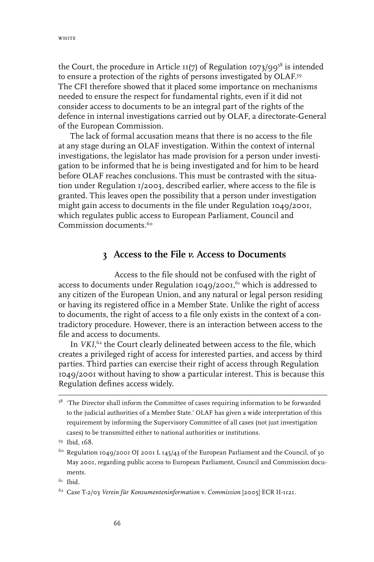the Court, the procedure in Article 11(7) of Regulation 1073/99 $^{58}$  is intended to ensure a protection of the rights of persons investigated by OLAF.59 The CFI therefore showed that it placed some importance on mechanisms needed to ensure the respect for fundamental rights, even if it did not consider access to documents to be an integral part of the rights of the defence in internal investigations carried out by OLAF, a directorate-General of the European Commission.

The lack of formal accusation means that there is no access to the file at any stage during an OLAF investigation. Within the context of internal investigations, the legislator has made provision for a person under investigation to be informed that he is being investigated and for him to be heard before OLAF reaches conclusions. This must be contrasted with the situation under Regulation 1/2003, described earlier, where access to the file is granted. This leaves open the possibility that a person under investigation might gain access to documents in the file under Regulation 1049/2001, which regulates public access to European Parliament, Council and Commission documents<sup>60</sup>

#### **3 Access to the File** *v.* **Access to Documents**

Access to the file should not be confused with the right of access to documents under Regulation 1049/2001, 61 which is addressed to any citizen of the European Union, and any natural or legal person residing or having its registered office in a Member State. Unlike the right of access to documents, the right of access to a file only exists in the context of a contradictory procedure. However, there is an interaction between access to the file and access to documents.

In *VKI*,<sup>62</sup> the Court clearly delineated between access to the file, which creates a privileged right of access for interested parties, and access by third parties. Third parties can exercise their right of access through Regulation 1049/2001 without having to show a particular interest. This is because this Regulation defines access widely.

<sup>&</sup>lt;sup>58</sup> 'The Director shall inform the Committee of cases requiring information to be forwarded to the judicial authorities of a Member State.' OLAF has given a wide interpretation of this requirement by informing the Supervisory Committee of all cases (not just investigation cases) to be transmitted either to national authorities or institutions.

<sup>59</sup> Ibid, 168.

<sup>60</sup> Regulation 1049/2001 OJ 2001 L 145/43 of the European Parliament and the Council, of 30 May 2001, regarding public access to European Parliament, Council and Commission documents.

 $61$  Ibid.

<sup>62</sup> Case T-2/03 *Verein für Konsumenteninformation* v. *Commission* [2005] ECR II-1121.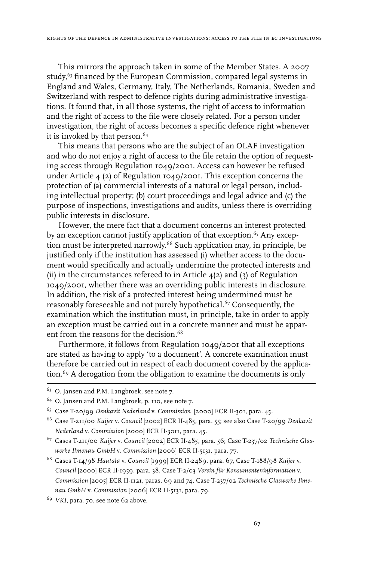This mirrors the approach taken in some of the Member States. A 2007 study,<sup>63</sup> financed by the European Commission, compared legal systems in England and Wales, Germany, Italy, The Netherlands, Romania, Sweden and Switzerland with respect to defence rights during administrative investigations. It found that, in all those systems, the right of access to information and the right of access to the file were closely related. For a person under investigation, the right of access becomes a specific defence right whenever it is invoked by that person.<sup>64</sup>

This means that persons who are the subject of an OLAF investigation and who do not enjoy a right of access to the file retain the option of requesting access through Regulation 1049/2001. Access can however be refused under Article 4 (2) of Regulation 1049/2001. This exception concerns the protection of (a) commercial interests of a natural or legal person, including intellectual property; (b) court proceedings and legal advice and (c) the purpose of inspections, investigations and audits, unless there is overriding public interests in disclosure.

However, the mere fact that a document concerns an interest protected by an exception cannot justify application of that exception.<sup>65</sup> Any exception must be interpreted narrowly.<sup>66</sup> Such application may, in principle, be justified only if the institution has assessed (i) whether access to the document would specifically and actually undermine the protected interests and (ii) in the circumstances refereed to in Article  $\mathcal{A}(2)$  and (3) of Regulation 1049/2001, whether there was an overriding public interests in disclosure. In addition, the risk of a protected interest being undermined must be reasonably foreseeable and not purely hypothetical.67 Consequently, the examination which the institution must, in principle, take in order to apply an exception must be carried out in a concrete manner and must be apparent from the reasons for the decision.<sup>68</sup>

Furthermore, it follows from Regulation 1049/2001 that all exceptions are stated as having to apply 'to a document'. A concrete examination must therefore be carried out in respect of each document covered by the application.<sup>69</sup> A derogation from the obligation to examine the documents is only

 $63$  O. Jansen and P.M. Langbroek, see note 7.

<sup>64</sup> O. Jansen and P.M. Langbroek, p. 110, see note 7.

<sup>65</sup> Case T-20/99 *Denkavit Nederland* v. *Commission* [2000] ECR II-301, para. 45.

<sup>66</sup> Case T-211/00 *Kuijer* v. *Council* [2002] ECR II-485, para. 55; see also Case T-20/99 *Denkavit Nederland* v. *Commission* [2000] ECR II-3011, para. 45.

<sup>67</sup> Cases T-211/00 *Kuijer* v. *Council* [2002] ECR II-485, para. 56; Case T-237/02 *Technische Glaswerke Ilmenau GmbH* v. *Commission* [2006] ECR II-5131, para. 77.

<sup>68</sup> Cases T-14/98 *Hautala* v. *Council* [1999] ECR II-2489, para. 67, Case T-188/98 *Kuijer* v. *Council* [2000] ECR II-1959, para. 38, Case T-2/03 *Verein für Konsumenteninformation* v. *Commission* [2005] ECR II-1121, paras. 69 and 74, Case T-237/02 *Technische Glaswerke Ilmenau GmbH* v. *Commission* [2006] ECR II-5131, para. 79.

<sup>69</sup> *VKI*, para. 70, see note 62 above.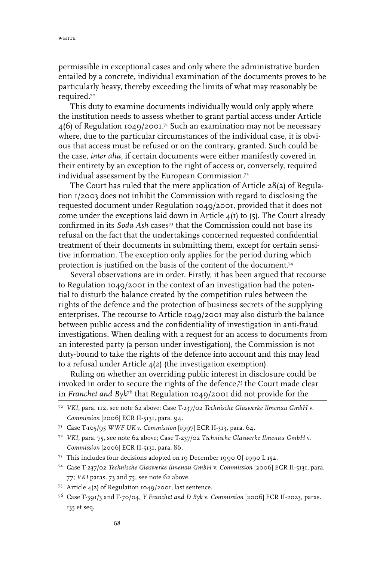permissible in exceptional cases and only where the administrative burden entailed by a concrete, individual examination of the documents proves to be particularly heavy, thereby exceeding the limits of what may reasonably be required.70

This duty to examine documents individually would only apply where the institution needs to assess whether to grant partial access under Article  $4(6)$  of Regulation 1049/2001.<sup>71</sup> Such an examination may not be necessary where, due to the particular circumstances of the individual case, it is obvious that access must be refused or on the contrary, granted. Such could be the case, *inter alia*, if certain documents were either manifestly covered in their entirety by an exception to the right of access or, conversely, required individual assessment by the European Commission.<sup>72</sup>

The Court has ruled that the mere application of Article 28(2) of Regulation 1/2003 does not inhibit the Commission with regard to disclosing the requested document under Regulation 1049/2001, provided that it does not come under the exceptions laid down in Article  $4(I)$  to (5). The Court already confirmed in its *Soda Ash* cases73 that the Commission could not base its refusal on the fact that the undertakings concerned requested confidential treatment of their documents in submitting them, except for certain sensitive information. The exception only applies for the period during which protection is justified on the basis of the content of the document.74

Several observations are in order. Firstly, it has been argued that recourse to Regulation 1049/2001 in the context of an investigation had the potential to disturb the balance created by the competition rules between the rights of the defence and the protection of business secrets of the supplying enterprises. The recourse to Article 1049/2001 may also disturb the balance between public access and the confidentiality of investigation in anti-fraud investigations. When dealing with a request for an access to documents from an interested party (a person under investigation), the Commission is not duty-bound to take the rights of the defence into account and this may lead to a refusal under Article 4(2) (the investigation exemption).

Ruling on whether an overriding public interest in disclosure could be invoked in order to secure the rights of the defence,75 the Court made clear in *Franchet and Byk*<sup>76</sup> that Regulation 1049/2001 did not provide for the

<sup>70</sup> *VKI*, para. 112, see note 62 above; Case T-237/02 *Technische Glaswerke Ilmenau GmbH* v. *Commission* [2006] ECR II-5131, para. 94.

<sup>71</sup> Case T-105/95 *WWF UK* v. *Commission* [1997] ECR II-313, para. 64.

<sup>72</sup> *VKI*, para. 75, see note 62 above; Case T-237/02 *Technische Glaswerke Ilmenau GmbH* v. *Commission* [2006] ECR II-5131, para. 86.

<sup>73</sup> This includes four decisions adopted on 19 December 1990 OJ 1990 L 152.

<sup>74</sup> Case T-237/02 *Technische Glaswerke Ilmenau GmbH* v. *Commission* [2006] ECR II-5131, para. 77; *VKI* paras. 73 and 75, see note 62 above.

<sup>75</sup> Article 4(2) of Regulation 1049/2001, last sentence.

<sup>76</sup> Case T-391/3 and T-70/04, *Y Franchet and D Byk* v. *Commission* [2006] ECR II-2023, paras. 135 et seq.